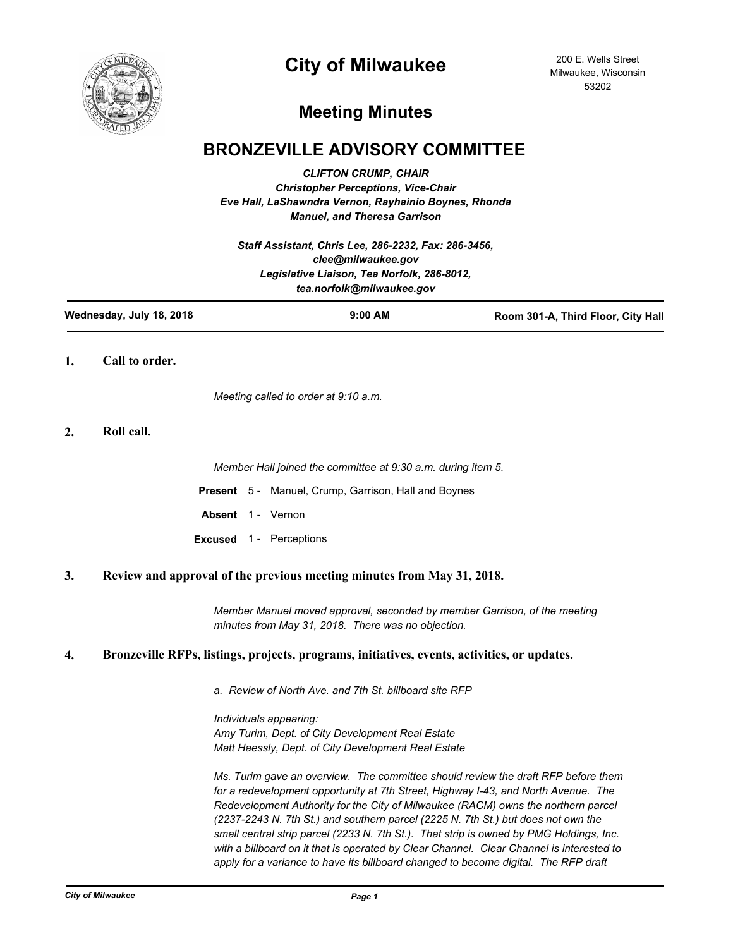

# **City of Milwaukee**

200 E. Wells Street Milwaukee, Wisconsin 53202

# **Meeting Minutes**

## **BRONZEVILLE ADVISORY COMMITTEE**

*CLIFTON CRUMP, CHAIR Christopher Perceptions, Vice-Chair Eve Hall, LaShawndra Vernon, Rayhainio Boynes, Rhonda Manuel, and Theresa Garrison*

*Staff Assistant, Chris Lee, 286-2232, Fax: 286-3456, clee@milwaukee.gov Legislative Liaison, Tea Norfolk, 286-8012, tea.norfolk@milwaukee.gov*

| Wednesday, July 18, 2018 | $9:00$ AM | Room 301-A, Third Floor, City Hall |
|--------------------------|-----------|------------------------------------|
|                          |           |                                    |

**1. Call to order.**

*Meeting called to order at 9:10 a.m.*

**2. Roll call.**

*Member Hall joined the committee at 9:30 a.m. during item 5.*

**Present** 5 - Manuel, Crump, Garrison, Hall and Boynes

Absent 1 - Vernon

**Excused** 1 - Perceptions

#### **3. Review and approval of the previous meeting minutes from May 31, 2018.**

*Member Manuel moved approval, seconded by member Garrison, of the meeting minutes from May 31, 2018. There was no objection.*

### **4. Bronzeville RFPs, listings, projects, programs, initiatives, events, activities, or updates.**

*a. Review of North Ave. and 7th St. billboard site RFP*

*Individuals appearing: Amy Turim, Dept. of City Development Real Estate Matt Haessly, Dept. of City Development Real Estate*

*Ms. Turim gave an overview. The committee should review the draft RFP before them for a redevelopment opportunity at 7th Street, Highway I-43, and North Avenue. The Redevelopment Authority for the City of Milwaukee (RACM) owns the northern parcel (2237-2243 N. 7th St.) and southern parcel (2225 N. 7th St.) but does not own the small central strip parcel (2233 N. 7th St.). That strip is owned by PMG Holdings, Inc. with a billboard on it that is operated by Clear Channel. Clear Channel is interested to*  apply for a variance to have its billboard changed to become digital. The RFP draft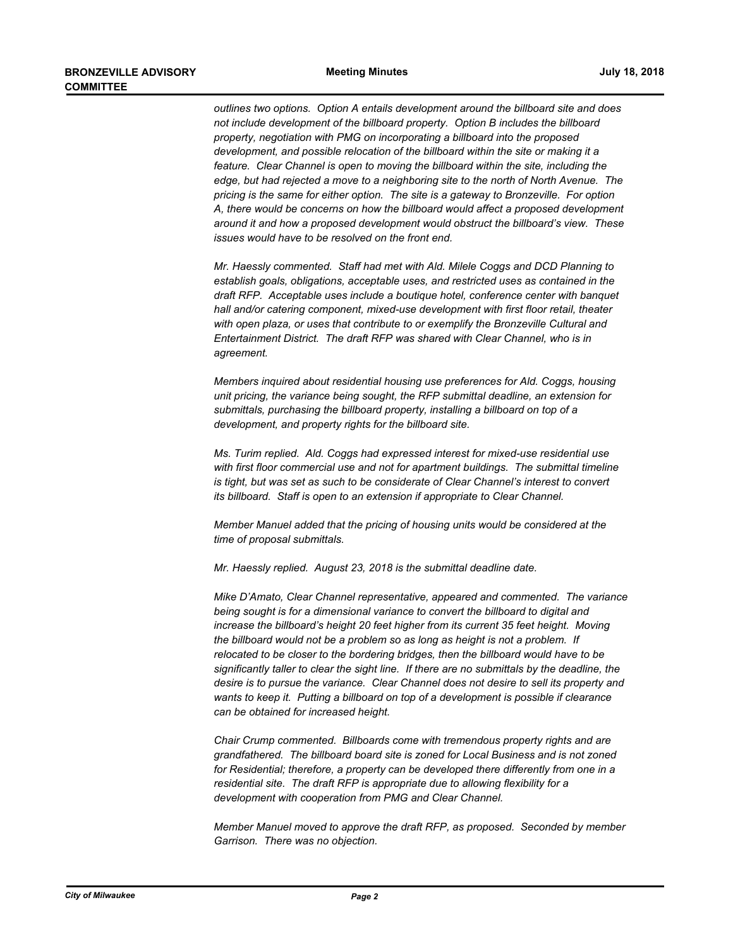*outlines two options. Option A entails development around the billboard site and does not include development of the billboard property. Option B includes the billboard property, negotiation with PMG on incorporating a billboard into the proposed development, and possible relocation of the billboard within the site or making it a feature. Clear Channel is open to moving the billboard within the site, including the edge, but had rejected a move to a neighboring site to the north of North Avenue. The pricing is the same for either option. The site is a gateway to Bronzeville. For option A, there would be concerns on how the billboard would affect a proposed development around it and how a proposed development would obstruct the billboard's view. These issues would have to be resolved on the front end.*

*Mr. Haessly commented. Staff had met with Ald. Milele Coggs and DCD Planning to establish goals, obligations, acceptable uses, and restricted uses as contained in the draft RFP. Acceptable uses include a boutique hotel, conference center with banquet hall and/or catering component, mixed-use development with first floor retail, theater with open plaza, or uses that contribute to or exemplify the Bronzeville Cultural and Entertainment District. The draft RFP was shared with Clear Channel, who is in agreement.*

*Members inquired about residential housing use preferences for Ald. Coggs, housing unit pricing, the variance being sought, the RFP submittal deadline, an extension for submittals, purchasing the billboard property, installing a billboard on top of a development, and property rights for the billboard site.*

*Ms. Turim replied. Ald. Coggs had expressed interest for mixed-use residential use*  with first floor commercial use and not for apartment buildings. The submittal timeline *is tight, but was set as such to be considerate of Clear Channel's interest to convert its billboard. Staff is open to an extension if appropriate to Clear Channel.*

*Member Manuel added that the pricing of housing units would be considered at the time of proposal submittals.*

*Mr. Haessly replied. August 23, 2018 is the submittal deadline date.*

*Mike D'Amato, Clear Channel representative, appeared and commented. The variance being sought is for a dimensional variance to convert the billboard to digital and increase the billboard's height 20 feet higher from its current 35 feet height. Moving the billboard would not be a problem so as long as height is not a problem. If relocated to be closer to the bordering bridges, then the billboard would have to be significantly taller to clear the sight line. If there are no submittals by the deadline, the desire is to pursue the variance. Clear Channel does not desire to sell its property and wants to keep it. Putting a billboard on top of a development is possible if clearance can be obtained for increased height.*

*Chair Crump commented. Billboards come with tremendous property rights and are grandfathered. The billboard board site is zoned for Local Business and is not zoned for Residential; therefore, a property can be developed there differently from one in a residential site. The draft RFP is appropriate due to allowing flexibility for a development with cooperation from PMG and Clear Channel.*

*Member Manuel moved to approve the draft RFP, as proposed. Seconded by member Garrison. There was no objection.*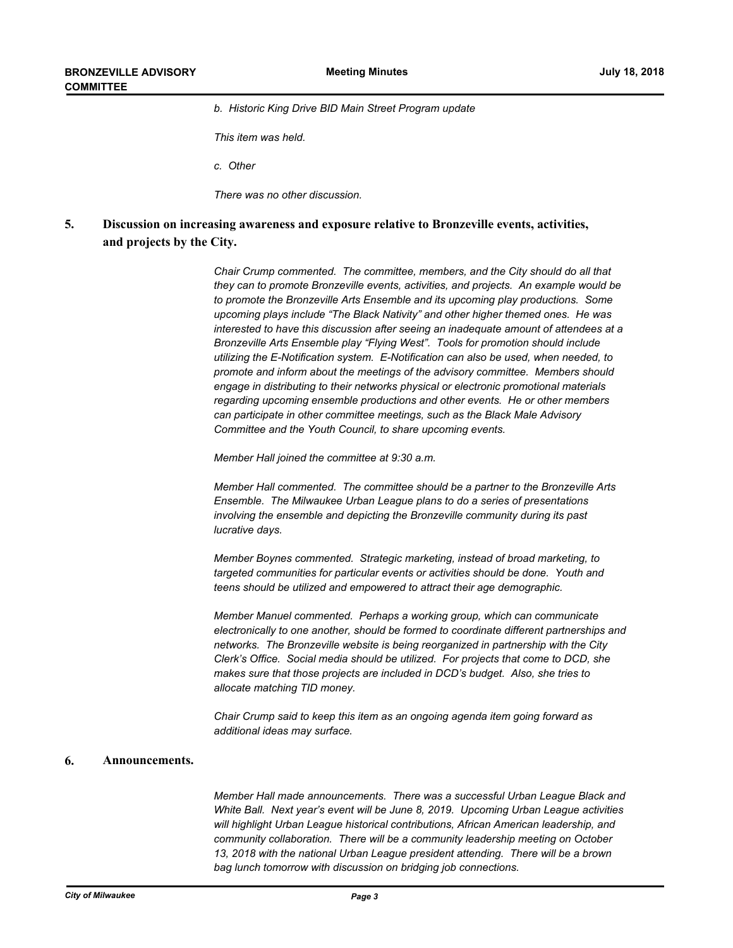*b. Historic King Drive BID Main Street Program update*

*This item was held.*

*c. Other*

*There was no other discussion.*

**Discussion on increasing awareness and exposure relative to Bronzeville events, activities, and projects by the City. 5.**

> *Chair Crump commented. The committee, members, and the City should do all that they can to promote Bronzeville events, activities, and projects. An example would be to promote the Bronzeville Arts Ensemble and its upcoming play productions. Some upcoming plays include "The Black Nativity" and other higher themed ones. He was interested to have this discussion after seeing an inadequate amount of attendees at a Bronzeville Arts Ensemble play "Flying West". Tools for promotion should include utilizing the E-Notification system. E-Notification can also be used, when needed, to promote and inform about the meetings of the advisory committee. Members should engage in distributing to their networks physical or electronic promotional materials regarding upcoming ensemble productions and other events. He or other members can participate in other committee meetings, such as the Black Male Advisory Committee and the Youth Council, to share upcoming events.*

*Member Hall joined the committee at 9:30 a.m.*

*Member Hall commented. The committee should be a partner to the Bronzeville Arts Ensemble. The Milwaukee Urban League plans to do a series of presentations involving the ensemble and depicting the Bronzeville community during its past lucrative days.*

*Member Boynes commented. Strategic marketing, instead of broad marketing, to targeted communities for particular events or activities should be done. Youth and teens should be utilized and empowered to attract their age demographic.*

*Member Manuel commented. Perhaps a working group, which can communicate electronically to one another, should be formed to coordinate different partnerships and networks. The Bronzeville website is being reorganized in partnership with the City Clerk's Office. Social media should be utilized. For projects that come to DCD, she makes sure that those projects are included in DCD's budget. Also, she tries to allocate matching TID money.*

*Chair Crump said to keep this item as an ongoing agenda item going forward as additional ideas may surface.*

#### **6. Announcements.**

*Member Hall made announcements. There was a successful Urban League Black and White Ball. Next year's event will be June 8, 2019. Upcoming Urban League activities will highlight Urban League historical contributions, African American leadership, and community collaboration. There will be a community leadership meeting on October 13, 2018 with the national Urban League president attending. There will be a brown bag lunch tomorrow with discussion on bridging job connections.*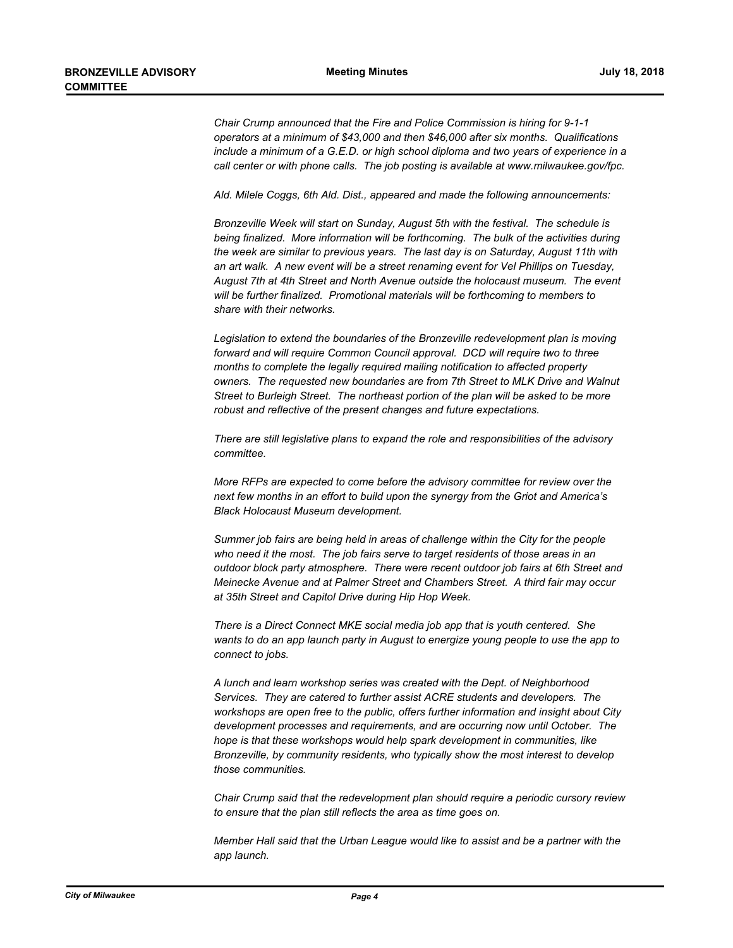*Chair Crump announced that the Fire and Police Commission is hiring for 9-1-1 operators at a minimum of \$43,000 and then \$46,000 after six months. Qualifications include a minimum of a G.E.D. or high school diploma and two years of experience in a call center or with phone calls. The job posting is available at www.milwaukee.gov/fpc.* 

*Ald. Milele Coggs, 6th Ald. Dist., appeared and made the following announcements:*

*Bronzeville Week will start on Sunday, August 5th with the festival. The schedule is being finalized. More information will be forthcoming. The bulk of the activities during the week are similar to previous years. The last day is on Saturday, August 11th with an art walk. A new event will be a street renaming event for Vel Phillips on Tuesday, August 7th at 4th Street and North Avenue outside the holocaust museum. The event will be further finalized. Promotional materials will be forthcoming to members to share with their networks.* 

*Legislation to extend the boundaries of the Bronzeville redevelopment plan is moving forward and will require Common Council approval. DCD will require two to three months to complete the legally required mailing notification to affected property owners. The requested new boundaries are from 7th Street to MLK Drive and Walnut Street to Burleigh Street. The northeast portion of the plan will be asked to be more robust and reflective of the present changes and future expectations.* 

*There are still legislative plans to expand the role and responsibilities of the advisory committee.*

*More RFPs are expected to come before the advisory committee for review over the next few months in an effort to build upon the synergy from the Griot and America's Black Holocaust Museum development.*

*Summer job fairs are being held in areas of challenge within the City for the people who need it the most. The job fairs serve to target residents of those areas in an outdoor block party atmosphere. There were recent outdoor job fairs at 6th Street and Meinecke Avenue and at Palmer Street and Chambers Street. A third fair may occur at 35th Street and Capitol Drive during Hip Hop Week.* 

*There is a Direct Connect MKE social media job app that is youth centered. She wants to do an app launch party in August to energize young people to use the app to connect to jobs.*

*A lunch and learn workshop series was created with the Dept. of Neighborhood Services. They are catered to further assist ACRE students and developers. The workshops are open free to the public, offers further information and insight about City development processes and requirements, and are occurring now until October. The hope is that these workshops would help spark development in communities, like Bronzeville, by community residents, who typically show the most interest to develop those communities.*

*Chair Crump said that the redevelopment plan should require a periodic cursory review to ensure that the plan still reflects the area as time goes on.*

*Member Hall said that the Urban League would like to assist and be a partner with the app launch.*